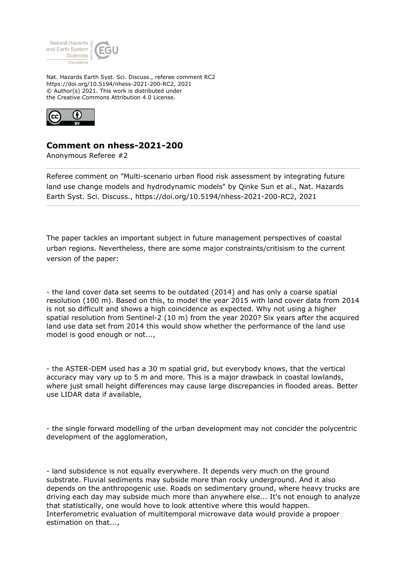

Nat. Hazards Earth Syst. Sci. Discuss., referee comment RC2 https://doi.org/10.5194/nhess-2021-200-RC2, 2021 © Author(s) 2021. This work is distributed under the Creative Commons Attribution 4.0 License.



## **Comment on nhess-2021-200**

Anonymous Referee #2

Referee comment on "Multi-scenario urban flood risk assessment by integrating future land use change models and hydrodynamic models" by Qinke Sun et al., Nat. Hazards Earth Syst. Sci. Discuss., https://doi.org/10.5194/nhess-2021-200-RC2, 2021

The paper tackles an important subject in future management perspectives of coastal urban regions. Nevertheless, there are some major constraints/critisism to the current version of the paper:

- the land cover data set seems to be outdated (2014) and has only a coarse spatial resolution (100 m). Based on this, to model the year 2015 with land cover data from 2014 is not so difficult and shows a high coincidence as expected. Why not using a higher spatial resolution from Sentinel-2 (10 m) from the year 2020? Six years after the acquired land use data set from 2014 this would show whether the performance of the land use model is good enough or not...,

- the ASTER-DEM used has a 30 m spatial grid, but everybody knows, that the vertical accuracy may vary up to 5 m and more. This is a major drawback in coastal lowlands, where just small height differences may cause large discrepancies in flooded areas. Better use LIDAR data if available,

- the single forward modelling of the urban development may not concider the polycentric development of the agglomeration,

- land subsidence is not equally everywhere. It depends very much on the ground substrate. Fluvial sediments may subside more than rocky underground. And it also depends on the anthropogenic use. Roads on sedimentary ground, where heavy trucks are driving each day may subside much more than anywhere else... It's not enough to analyze that statistically, one would hove to look attentive where this would happen. Interferometric evaluation of multitemporal microwave data would provide a propoer estimation on that...,